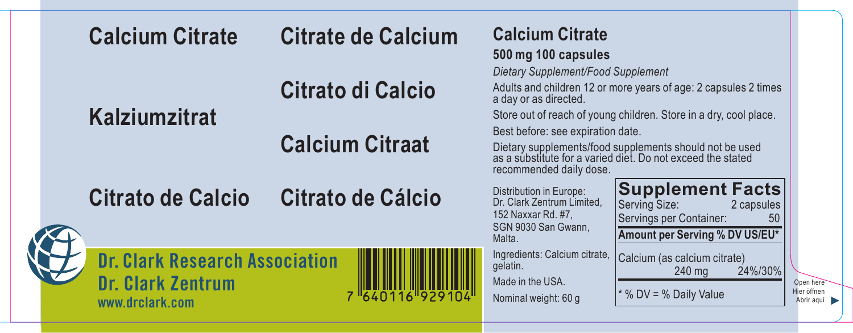| <b>Calcium Citrate</b>                                                               | <b>Citrate de Calcium</b> | <b>Calcium Citrate</b><br>500 mg 100 capsules<br>Dietary Supplement/Food Supplement                                                                                                    |                                                                                                                                      |                                        |
|--------------------------------------------------------------------------------------|---------------------------|----------------------------------------------------------------------------------------------------------------------------------------------------------------------------------------|--------------------------------------------------------------------------------------------------------------------------------------|----------------------------------------|
|                                                                                      | Citrato di Calcio         | a day or as directed.                                                                                                                                                                  | Adults and children 12 or more years of age: 2 capsules 2 times<br>Store out of reach of young children. Store in a dry, cool place. |                                        |
| <b>Kalziumzitrat</b>                                                                 | <b>Calcium Citraat</b>    | Best before: see expiration date.<br>Dietary supplements/food supplements should not be used<br>as a substitute for a varied diet. Do not exceed the stated<br>recommended daily dose. |                                                                                                                                      |                                        |
| <b>Citrato de Calcio</b>                                                             | Citrato de Cálcio         | Distribution in Europe:<br>Dr. Clark Zentrum Limited.<br>152 Naxxar Rd, #7.<br>SGN 9030 San Gwann,<br>Malta.                                                                           | <b>Supplement Facts</b><br>Serving Size:<br>2 capsules<br>Servings per Container:<br>50<br>Amount per Serving % DV US/EU*            |                                        |
| <b>Dr. Clark Research Association</b><br><b>Dr. Clark Zentrum</b><br>www.drclark.com | 7 640116 929104           | Ingredients: Calcium citrate,<br>gelatin.<br>Made in the USA.<br>Nominal weight: 60 g                                                                                                  | Calcium (as calcium citrate)<br>24%/30%<br>$240$ ma<br>* % DV = % Daily Value                                                        | Open here<br>Hier öffnen<br>Abrir aguí |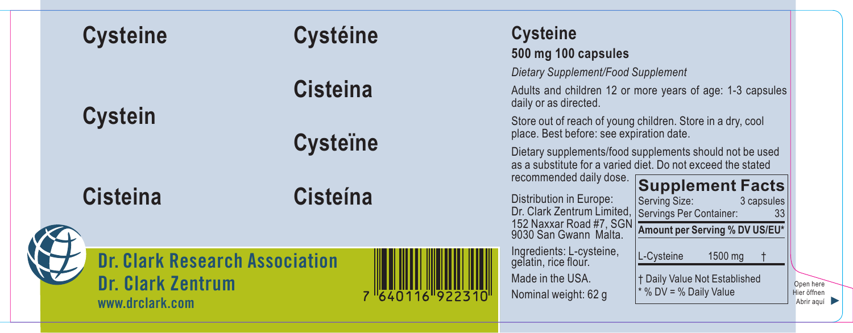|  | <b>Cysteine</b>                                                                      | <b>Cystéine</b>  |               | <b>Cysteine</b><br>500 mg 100 capsules                                                                                                                                                                                           |                                                                                                |                                        |
|--|--------------------------------------------------------------------------------------|------------------|---------------|----------------------------------------------------------------------------------------------------------------------------------------------------------------------------------------------------------------------------------|------------------------------------------------------------------------------------------------|----------------------------------------|
|  |                                                                                      | <b>Cisteina</b>  |               | Dietary Supplement/Food Supplement<br>daily or as directed.                                                                                                                                                                      | Adults and children 12 or more years of age: 1-3 capsules                                      |                                        |
|  | <b>Cystein</b>                                                                       | <b>Cystellne</b> |               | Store out of reach of young children. Store in a dry, cool<br>place. Best before: see expiration date.<br>Dietary supplements/food supplements should not be used<br>as a substitute for a varied diet. Do not exceed the stated |                                                                                                |                                        |
|  | <b>Cisteina</b>                                                                      | <b>Cisteína</b>  |               | recommended daily dose.<br>Distribution in Europe:<br>Dr. Clark Zentrum Limited, Servings Per Container:<br>152 Naxxar Road #7, SGN<br>9030 San Gwann Malta.                                                                     | <b>Supplement Facts</b><br>Serving Size:<br>3 capsules<br>33<br>Amount per Serving % DV US/EU* |                                        |
|  | <b>Dr. Clark Research Association</b><br><b>Dr. Clark Zentrum</b><br>www.drclark.com |                  | 640116 922310 | Ingredients: L-cysteine,<br>gelatin, rice flour.<br>Made in the USA.<br>Nominal weight: 62 g                                                                                                                                     | L-Cysteine<br>1500 mg<br>† Daily Value Not Established<br>* % DV = % Daily Value               | Open here<br>Hier öffnen<br>Abrir aguí |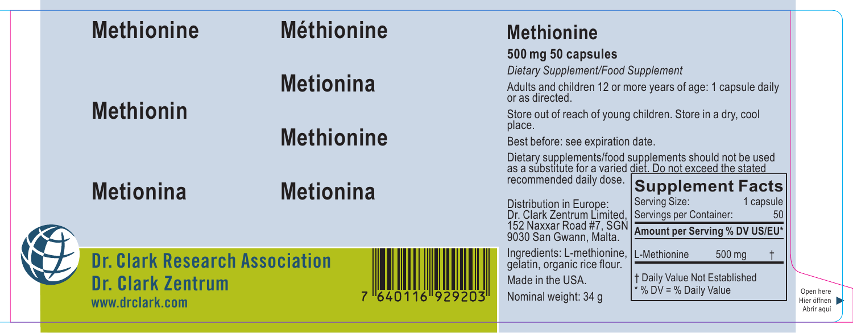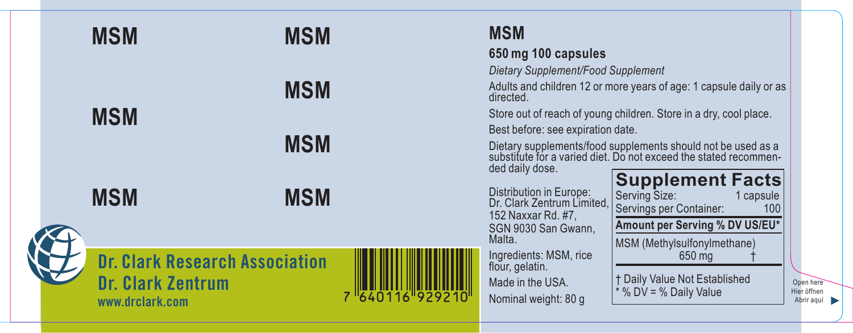

# **MSM**

### **650 mg 100 capsules**

*Dietary Supplement/Food Supplement*

Adults and children 12 or more years of age: 1 capsule daily or as directed.

Store out of reach of young children. Store in a dry, cool place.

Best before: see expiration date.

Dietary supplements/food supplements should not be used as a<br>substitute for a varied diet. Do not exceed the stated recommen-<br>ded daily dose.

Distribution in Europe: Dr. Clark Zentrum Limited, 152 Naxxar Rd. #7, SGN 9030 San Gwann, Malta.

Ingredients: MSM, rice flour, gelatin.

Made in the USA. Nominal weight: 80 g

| <b>Supplement Facts</b><br>Serving Size:<br>Servings per Container: | 1 capsule<br>100 |
|---------------------------------------------------------------------|------------------|
| Amount per Serving % DV US/EU*                                      |                  |
| MSM (Methylsulfonylmethane)<br>650 mg                               |                  |
| † Daily Value Not Established<br>* % DV = % Daily Value             |                  |

Open here Hier öffnen Abrir aquí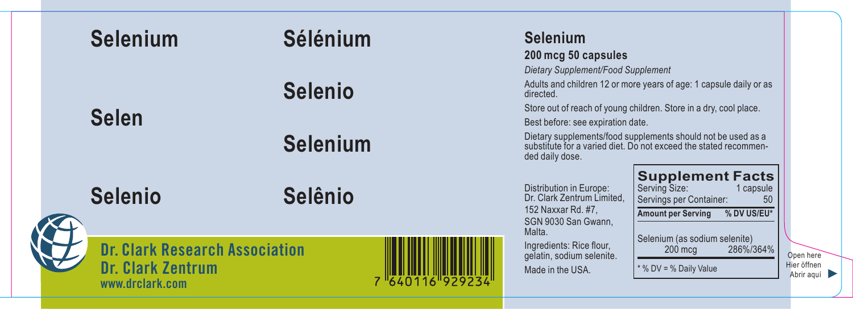

Open here Hier öffnen Abrir aguí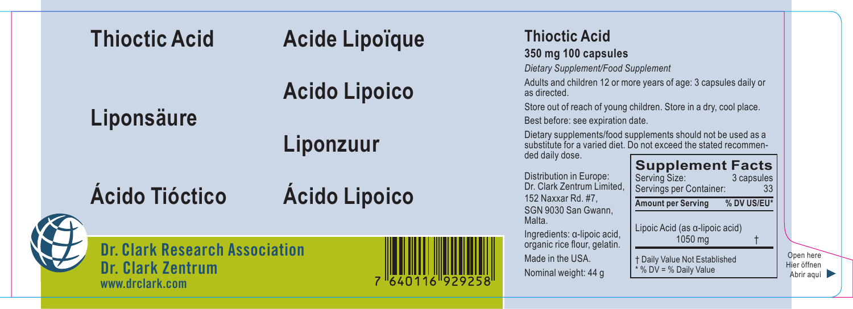

Open here Hier öffnen Abrir aguí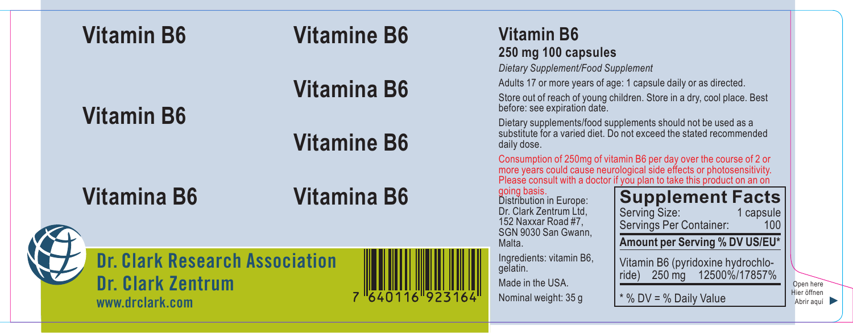| <b>Vitamin B6</b>                                                                    | <b>Vitamine B6</b> | <b>Vitamin B6</b><br>250 mg 100 capsules<br>Dietary Supplement/Food Supplement                                            |                                                                                                                                                                                                                                                                              |                                        |
|--------------------------------------------------------------------------------------|--------------------|---------------------------------------------------------------------------------------------------------------------------|------------------------------------------------------------------------------------------------------------------------------------------------------------------------------------------------------------------------------------------------------------------------------|----------------------------------------|
| <b>Vitamin B6</b>                                                                    | <b>Vitamina B6</b> | before: see expiration date.                                                                                              | Adults 17 or more years of age: 1 capsule daily or as directed.<br>Store out of reach of young children. Store in a dry, cool place. Best                                                                                                                                    |                                        |
|                                                                                      | <b>Vitamine B6</b> | daily dose.                                                                                                               | Dietary supplements/food supplements should not be used as a<br>substitute for a varied diet. Do not exceed the stated recommended<br>Consumption of 250mg of vitamin B6 per day over the course of 2 or                                                                     |                                        |
| <b>Vitamina B6</b>                                                                   | <b>Vitamina B6</b> | going basis.<br>Distribution in Europe:<br>Dr. Clark Zentrum Ltd.<br>152 Naxxar Road #7.<br>SGN 9030 San Gwann.<br>Malta. | more years could cause neurological side effects or photosensitivity.<br>Please consult with a doctor if you plan to take this product on an on<br><b>Supplement Facts</b><br>Serving Size:<br>1 capsule<br>Servings Per Container:<br>100<br>Amount per Serving % DV US/EU* |                                        |
| <b>Dr. Clark Research Association</b><br><b>Dr. Clark Zentrum</b><br>www.drclark.com | 7 640116 923164    | Ingredients: vitamin B6,<br>gelatin.<br>Made in the USA.<br>Nominal weight: 35 g                                          | Vitamin B6 (pyridoxine hydrochlo-<br>12500%/17857%<br>$250 \text{ mg}$<br>ride)<br>* % DV = % Daily Value                                                                                                                                                                    | Open here<br>Hier öffnen<br>Abrir aguí |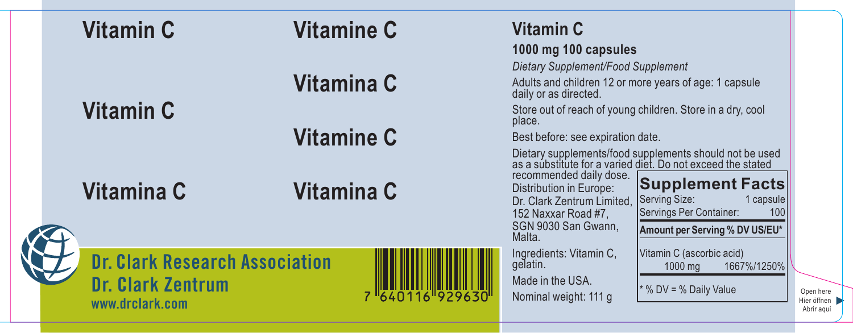| <b>Vitamin C</b>                                                                     | <b>Vitamine C</b> | Vitamin C<br>1000 mg 100 capsules                                                                                                                                                                                                                                     |                                        |
|--------------------------------------------------------------------------------------|-------------------|-----------------------------------------------------------------------------------------------------------------------------------------------------------------------------------------------------------------------------------------------------------------------|----------------------------------------|
| Vitamin C                                                                            | Vitamina C        | Dietary Supplement/Food Supplement<br>Adults and children 12 or more years of age: 1 capsule<br>daily or as directed.<br>Store out of reach of young children. Store in a dry, cool                                                                                   |                                        |
|                                                                                      | <b>Vitamine C</b> | place.<br>Best before: see expiration date.<br>Dietary supplements/food supplements should not be used<br>as a substitute for a varied diet. Do not exceed the stated                                                                                                 |                                        |
| Vitamina C                                                                           | Vitamina C        | recommended daily dose.<br><b>Supplement Facts</b><br>Distribution in Europe:<br>Serving Size:<br>Dr. Clark Zentrum Limited.<br>1 capsule<br>Servings Per Container:<br>100<br>152 Naxxar Road #7,<br>SGN 9030 San Gwann.<br>Amount per Serving % DV US/EU*<br>Malta. |                                        |
| <b>Dr. Clark Research Association</b><br><b>Dr. Clark Zentrum</b><br>www.drclark.com | 7 "640116"929630' | Vitamin C (ascorbic acid)<br>Ingredients: Vitamin C,<br>gelatin.<br>1667%/1250%<br>1000 mg<br>Made in the USA.<br>* % DV = % Daily Value<br>Nominal weight: 111 g                                                                                                     | Open here<br>Hier öffnen<br>Abrir agui |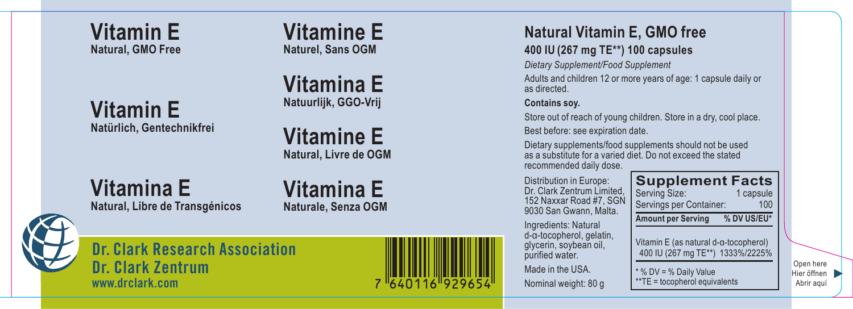**Vitamin E Natural, GMO Free**

**Vitamin E Natürlich, Gentechnikfrei**

**Vitamine E Naturel, Sans OGM**

**Vitamina E Natuurlijk, GGO-Vrij**

**Vitamine E Natural, Livre de OGM**

**Vitamina E Natural, Libre de Transgénicos**

## **Vitamina E Naturale, Senza OGM**



**Dr. Clark Research Association Dr. Clark Zentrum www.drclark.com**



# **Natural Vitamin E, GMO free**

#### **400 IU (267 mg TE\*\*) 100 capsules**

*Dietary Supplement/Food Supplement*

Adults and children 12 or more years of age: 1 capsule daily or as directed.

#### **Contains soy.**

Store out of reach of young children. Store in a dry, cool place. Best before: see expiration date.

Dietary supplements/food supplements should not be used as a substitute for a varied diet. Do not exceed the stated recommended daily dose.

Distribution in Europe: Dr. Clark Zentrum Limited, 152 Naxxar Road #7, SGN 9030 San Gwann, Malta.

Ingredients: Natural d-α-tocopherol, gelatin, glycerin, soybean oil, purified water. Made in the USA.

Nominal weight: 80 g



Open here Hier öffnen Abrir aquí